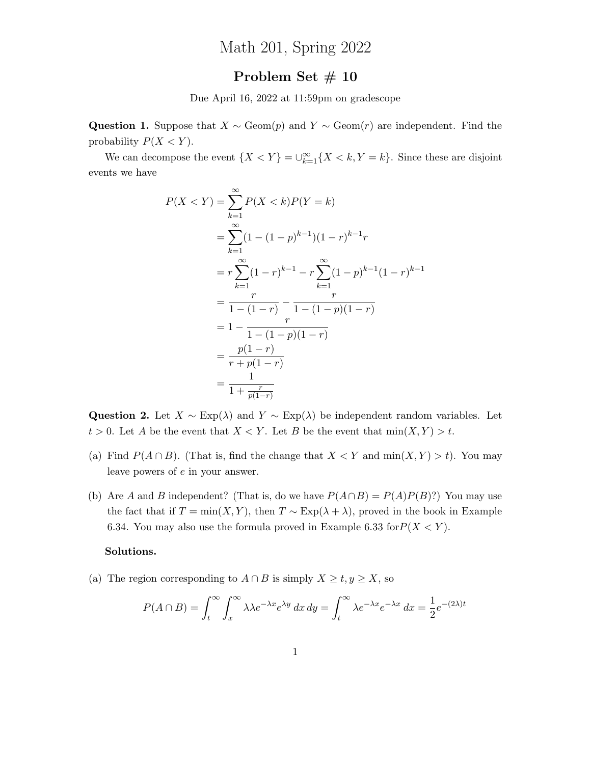## Math 201, Spring 2022

## Problem Set # 10

Due April 16, 2022 at 11:59pm on gradescope

Question 1. Suppose that  $X \sim \text{Geom}(p)$  and  $Y \sim \text{Geom}(r)$  are independent. Find the probability  $P(X < Y)$ .

We can decompose the event  $\{X \leq Y\} = \bigcup_{k=1}^{\infty} \{X \leq k, Y = k\}.$  Since these are disjoint events we have

$$
P(X < Y) = \sum_{k=1}^{\infty} P(X < k)P(Y = k)
$$
  
= 
$$
\sum_{k=1}^{\infty} (1 - (1 - p)^{k-1})(1 - r)^{k-1}r
$$
  
= 
$$
r \sum_{k=1}^{\infty} (1 - r)^{k-1} - r \sum_{k=1}^{\infty} (1 - p)^{k-1}(1 - r)^{k-1}
$$
  
= 
$$
\frac{r}{1 - (1 - r)} - \frac{r}{1 - (1 - p)(1 - r)}
$$
  
= 
$$
\frac{1}{1 - (1 - p)(1 - r)}
$$
  
= 
$$
\frac{1}{1 + \frac{r}{p(1 - r)}}
$$

Question 2. Let  $X \sim \text{Exp}(\lambda)$  and  $Y \sim \text{Exp}(\lambda)$  be independent random variables. Let  $t > 0$ . Let A be the event that  $X < Y$ . Let B be the event that  $\min(X, Y) > t$ .

- (a) Find  $P(A \cap B)$ . (That is, find the change that  $X < Y$  and  $\min(X, Y) > t$ ). You may leave powers of e in your answer.
- (b) Are A and B independent? (That is, do we have  $P(A \cap B) = P(A)P(B)$ ?) You may use the fact that if  $T = min(X, Y)$ , then  $T \sim Exp(\lambda + \lambda)$ , proved in the book in Example 6.34. You may also use the formula proved in Example 6.33 for  $P(X \le Y)$ .

## Solutions.

(a) The region corresponding to  $A \cap B$  is simply  $X \ge t, y \ge X$ , so

$$
P(A \cap B) = \int_t^{\infty} \int_x^{\infty} \lambda \lambda e^{-\lambda x} e^{\lambda y} dx dy = \int_t^{\infty} \lambda e^{-\lambda x} e^{-\lambda x} dx = \frac{1}{2} e^{-(2\lambda)t}
$$